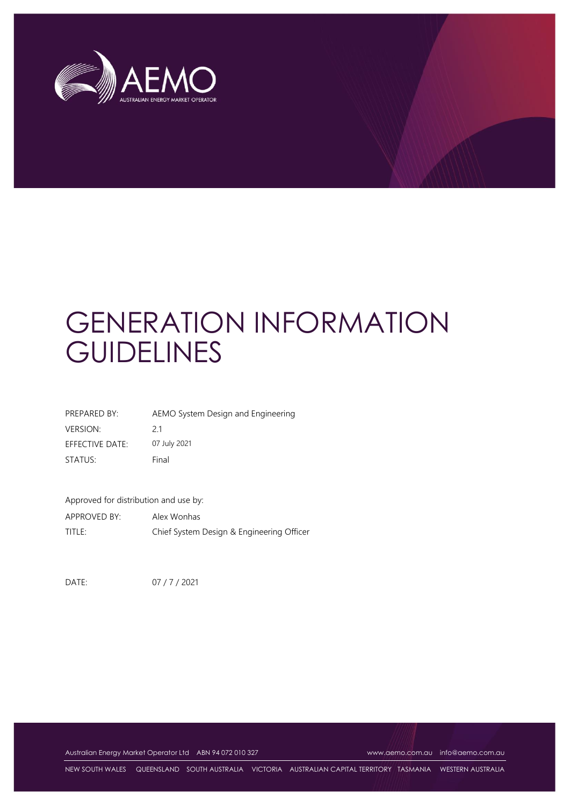

# GENERATION INFORMATION **GUIDELINES**

| PREPARED BY:    | AEMO System Design and Engineering |
|-----------------|------------------------------------|
| <b>VERSION:</b> | 21                                 |
| EFFECTIVE DATE: | 07 July 2021                       |
| STATUS:         | Final                              |

Approved for distribution and use by:

APPROVED BY: Alex Wonhas TITLE: Chief System Design & Engineering Officer

DATE: 07 / 7 / 2021

Australian Energy Market Operator Ltd ABN 94 072 010 327 [www.aemo.com.au](http://www.aemo.com.au/) [info@aemo.com.au](mailto:info@aemo.com.au)

NEW SOUTH WALES QUEENSLAND SOUTH AUSTRALIA VICTORIA AUSTRALIAN CAPITAL TERRITORY TASMANIA WESTERN AUSTRALIA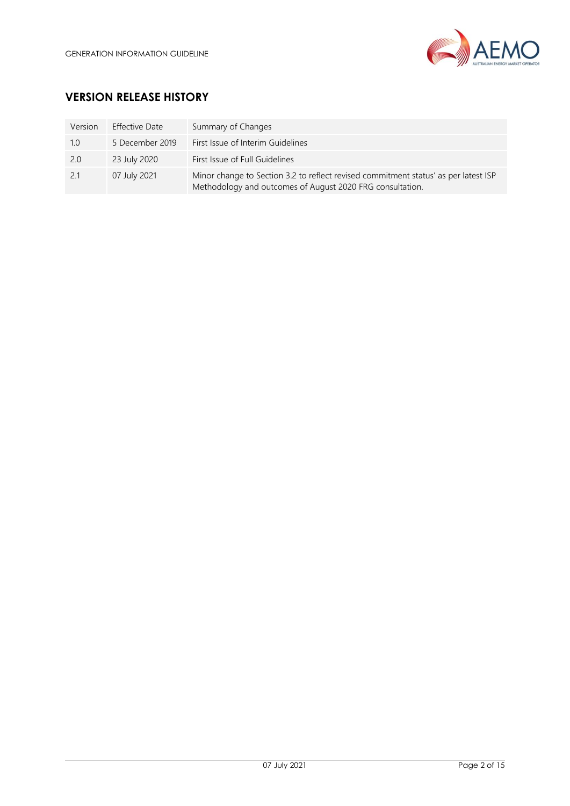

# **VERSION RELEASE HISTORY**

| Version | <b>Effective Date</b> | Summary of Changes                                                                                                                               |
|---------|-----------------------|--------------------------------------------------------------------------------------------------------------------------------------------------|
| 1.0     | 5 December 2019       | First Issue of Interim Guidelines                                                                                                                |
| 2.0     | 23 July 2020          | First Issue of Full Guidelines                                                                                                                   |
| 2.1     | 07 July 2021          | Minor change to Section 3.2 to reflect revised commitment status' as per latest ISP<br>Methodology and outcomes of August 2020 FRG consultation. |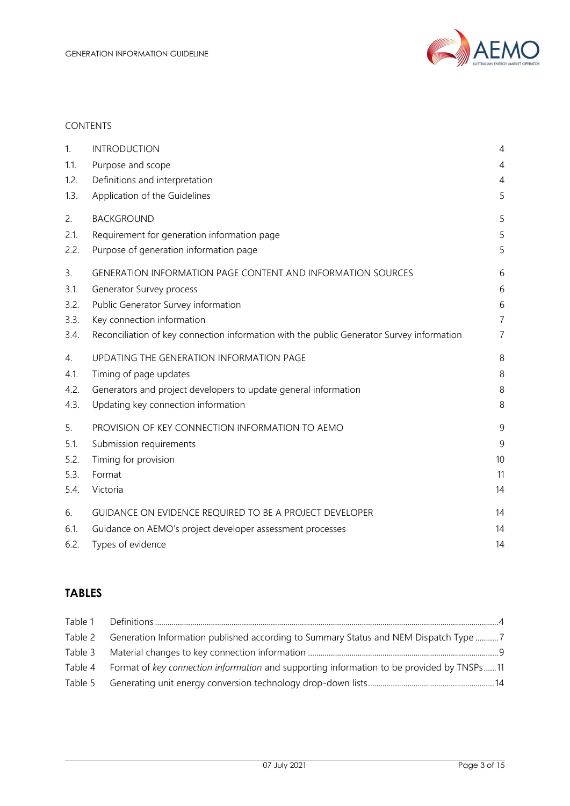

## CONTENTS

| 1.   | <b>INTRODUCTION</b>                                                                       | $\overline{4}$ |
|------|-------------------------------------------------------------------------------------------|----------------|
| 1.1. | Purpose and scope                                                                         | 4              |
| 1.2. | Definitions and interpretation                                                            | $\overline{4}$ |
| 1.3. | Application of the Guidelines                                                             | 5              |
| 2.   | <b>BACKGROUND</b>                                                                         | 5              |
| 2.1. | Requirement for generation information page                                               | 5              |
| 2.2. | Purpose of generation information page                                                    | 5              |
| 3.   | <b>GENERATION INFORMATION PAGE CONTENT AND INFORMATION SOURCES</b>                        | 6              |
| 3.1. | Generator Survey process                                                                  | 6              |
| 3.2. | Public Generator Survey information                                                       | $6\,$          |
| 3.3. | Key connection information                                                                | $\overline{7}$ |
| 3.4. | Reconciliation of key connection information with the public Generator Survey information | 7              |
| 4.   | UPDATING THE GENERATION INFORMATION PAGE                                                  | 8              |
| 4.1. | Timing of page updates                                                                    | 8              |
| 4.2. | Generators and project developers to update general information                           | 8              |
| 4.3. | Updating key connection information                                                       | 8              |
| 5.   | PROVISION OF KEY CONNECTION INFORMATION TO AEMO                                           | 9              |
| 5.1. | Submission requirements                                                                   | 9              |
| 5.2. | Timing for provision                                                                      | 10             |
| 5.3. | Format                                                                                    | 11             |
| 5.4. | Victoria                                                                                  | 14             |
| 6.   | GUIDANCE ON EVIDENCE REQUIRED TO BE A PROJECT DEVELOPER                                   | 14             |
| 6.1. | Guidance on AEMO's project developer assessment processes                                 | 14             |
| 6.2. | Types of evidence                                                                         | 14             |

# **TABLES**

| Table 2 | Generation Information published according to Summary Status and NEM Dispatch Type 7              |  |
|---------|---------------------------------------------------------------------------------------------------|--|
|         |                                                                                                   |  |
|         | Table 4 Format of key connection information and supporting information to be provided by TNSPs11 |  |
|         |                                                                                                   |  |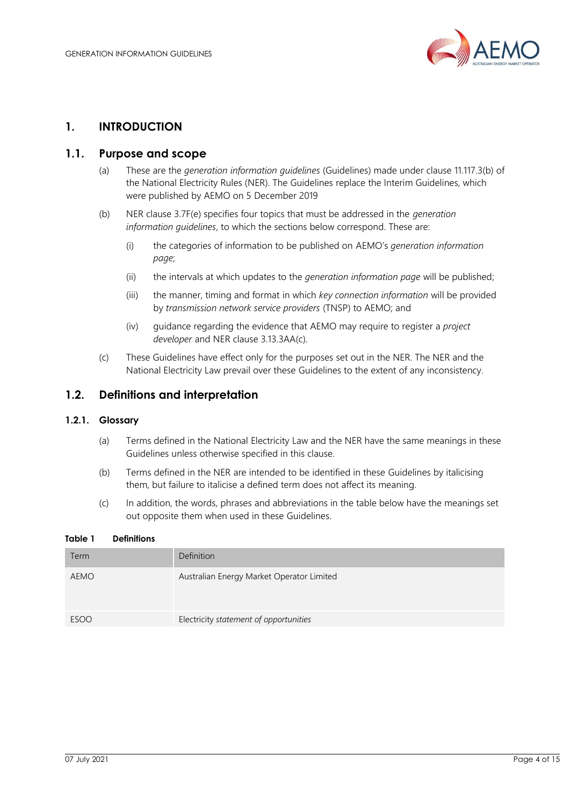

## <span id="page-3-0"></span>**1. INTRODUCTION**

## <span id="page-3-1"></span>**1.1. Purpose and scope**

- (a) These are the *generation information guidelines* (Guidelines) made under clause 11.117.3(b) of the National Electricity Rules (NER). The Guidelines replace the Interim Guidelines, which were published by AEMO on 5 December 2019
- (b) NER clause 3.7F(e) specifies four topics that must be addressed in the *generation information guidelines*, to which the sections below correspond. These are:
	- (i) the categories of information to be published on AEMO's *generation information page*;
	- (ii) the intervals at which updates to the *generation information page* will be published;
	- (iii) the manner, timing and format in which *key connection information* will be provided by *transmission network service providers* (TNSP) to AEMO; and
	- (iv) guidance regarding the evidence that AEMO may require to register a *project developer* and NER clause 3.13.3AA(c).
- (c) These Guidelines have effect only for the purposes set out in the NER. The NER and the National Electricity Law prevail over these Guidelines to the extent of any inconsistency.

## <span id="page-3-2"></span>**1.2. Definitions and interpretation**

## **1.2.1. Glossary**

- (a) Terms defined in the National Electricity Law and the NER have the same meanings in these Guidelines unless otherwise specified in this clause.
- (b) Terms defined in the NER are intended to be identified in these Guidelines by italicising them, but failure to italicise a defined term does not affect its meaning.
- (c) In addition, the words, phrases and abbreviations in the table below have the meanings set out opposite them when used in these Guidelines.

#### <span id="page-3-3"></span>**Table 1 Definitions**

| Term        | Definition                                |
|-------------|-------------------------------------------|
| <b>AEMO</b> | Australian Energy Market Operator Limited |
| <b>ESOO</b> | Electricity statement of opportunities    |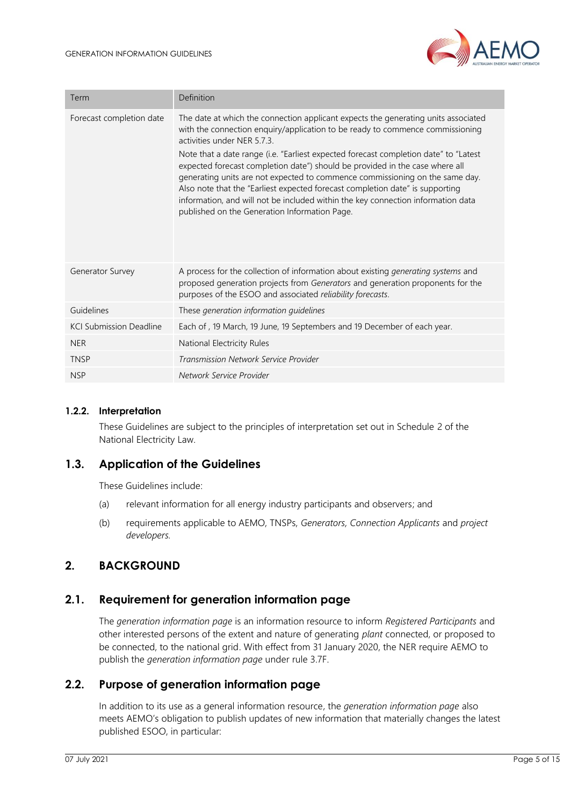

| Term                           | Definition                                                                                                                                                                                                                                                                                                                                                                                                                                                                                                                                                                                                                                                                       |
|--------------------------------|----------------------------------------------------------------------------------------------------------------------------------------------------------------------------------------------------------------------------------------------------------------------------------------------------------------------------------------------------------------------------------------------------------------------------------------------------------------------------------------------------------------------------------------------------------------------------------------------------------------------------------------------------------------------------------|
| Forecast completion date       | The date at which the connection applicant expects the generating units associated<br>with the connection enquiry/application to be ready to commence commissioning<br>activities under NER 5.7.3.<br>Note that a date range (i.e. "Earliest expected forecast completion date" to "Latest<br>expected forecast completion date") should be provided in the case where all<br>generating units are not expected to commence commissioning on the same day.<br>Also note that the "Earliest expected forecast completion date" is supporting<br>information, and will not be included within the key connection information data<br>published on the Generation Information Page. |
| Generator Survey               | A process for the collection of information about existing generating systems and<br>proposed generation projects from Generators and generation proponents for the<br>purposes of the ESOO and associated reliability forecasts.                                                                                                                                                                                                                                                                                                                                                                                                                                                |
| Guidelines                     | These generation information quidelines                                                                                                                                                                                                                                                                                                                                                                                                                                                                                                                                                                                                                                          |
| <b>KCI Submission Deadline</b> | Each of, 19 March, 19 June, 19 Septembers and 19 December of each year.                                                                                                                                                                                                                                                                                                                                                                                                                                                                                                                                                                                                          |
| <b>NER</b>                     | National Electricity Rules                                                                                                                                                                                                                                                                                                                                                                                                                                                                                                                                                                                                                                                       |
| <b>TNSP</b>                    | Transmission Network Service Provider                                                                                                                                                                                                                                                                                                                                                                                                                                                                                                                                                                                                                                            |
| <b>NSP</b>                     | Network Service Provider                                                                                                                                                                                                                                                                                                                                                                                                                                                                                                                                                                                                                                                         |

#### **1.2.2. Interpretation**

These Guidelines are subject to the principles of interpretation set out in Schedule 2 of the National Electricity Law.

## <span id="page-4-0"></span>**1.3. Application of the Guidelines**

These Guidelines include:

- (a) relevant information for all energy industry participants and observers; and
- (b) requirements applicable to AEMO, TNSPs, *Generators, Connection Applicants* and *project developers.*

## <span id="page-4-1"></span>**2. BACKGROUND**

## <span id="page-4-2"></span>**2.1. Requirement for generation information page**

The *generation information page* is an information resource to inform *Registered Participants* and other interested persons of the extent and nature of generating *plant* connected, or proposed to be connected, to the national grid. With effect from 31 January 2020, the NER require AEMO to publish the *generation information page* under rule 3.7F.

## <span id="page-4-3"></span>**2.2. Purpose of generation information page**

In addition to its use as a general information resource, the *generation information page* also meets AEMO's obligation to publish updates of new information that materially changes the latest published ESOO, in particular: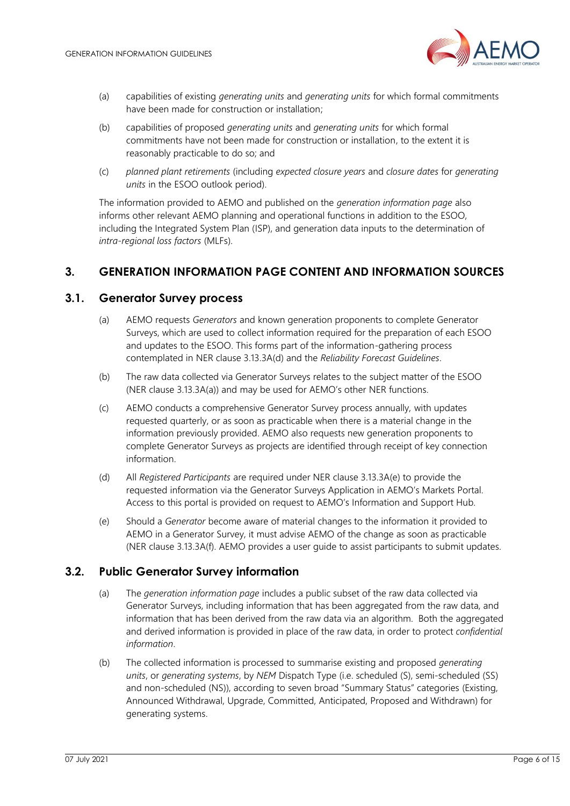

- (a) capabilities of existing *generating units* and *generating units* for which formal commitments have been made for construction or installation;
- (b) capabilities of proposed *generating units* and *generating units* for which formal commitments have not been made for construction or installation, to the extent it is reasonably practicable to do so; and
- (c) *planned plant retirements* (including *expected closure years* and *closure dates* for *generating units* in the ESOO outlook period).

The information provided to AEMO and published on the *generation information page* also informs other relevant AEMO planning and operational functions in addition to the ESOO, including the Integrated System Plan (ISP), and generation data inputs to the determination of *intra-regional loss factors* (MLFs).

# <span id="page-5-0"></span>**3. GENERATION INFORMATION PAGE CONTENT AND INFORMATION SOURCES**

## <span id="page-5-1"></span>**3.1. Generator Survey process**

- (a) AEMO requests *Generators* and known generation proponents to complete Generator Surveys, which are used to collect information required for the preparation of each ESOO and updates to the ESOO. This forms part of the information-gathering process contemplated in NER clause 3.13.3A(d) and the *Reliability Forecast Guidelines*.
- (b) The raw data collected via Generator Surveys relates to the subject matter of the ESOO (NER clause 3.13.3A(a)) and may be used for AEMO's other NER functions.
- (c) AEMO conducts a comprehensive Generator Survey process annually, with updates requested quarterly, or as soon as practicable when there is a material change in the information previously provided. AEMO also requests new generation proponents to complete Generator Surveys as projects are identified through receipt of key connection information.
- (d) All *Registered Participants* are required under NER clause 3.13.3A(e) to provide the requested information via the Generator Surveys Application in AEMO's Markets Portal. Access to this portal is provided on request to AEMO's Information and Support Hub.
- (e) Should a *Generator* become aware of material changes to the information it provided to AEMO in a Generator Survey, it must advise AEMO of the change as soon as practicable (NER clause 3.13.3A(f). AEMO provides a user guide to assist participants to submit updates.

## <span id="page-5-2"></span>**3.2. Public Generator Survey information**

- (a) The *generation information page* includes a public subset of the raw data collected via Generator Surveys, including information that has been aggregated from the raw data, and information that has been derived from the raw data via an algorithm. Both the aggregated and derived information is provided in place of the raw data, in order to protect *confidential information*.
- (b) The collected information is processed to summarise existing and proposed *generating units*, or *generating systems*, by *NEM* Dispatch Type (i.e. scheduled (S), semi-scheduled (SS) and non-scheduled (NS)), according to seven broad "Summary Status" categories (Existing, Announced Withdrawal, Upgrade, Committed, Anticipated, Proposed and Withdrawn) for generating systems.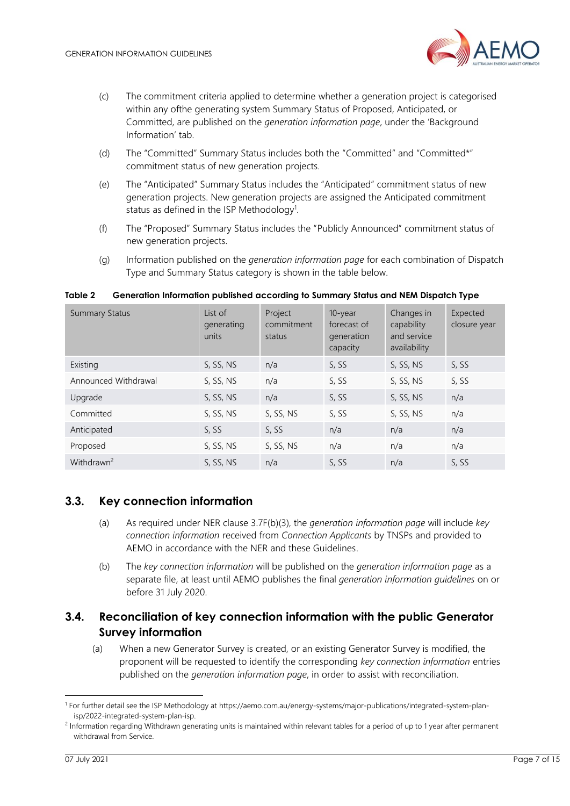

- (c) The commitment criteria applied to determine whether a generation project is categorised within any ofthe generating system Summary Status of Proposed, Anticipated, or Committed, are published on the *generation information page*, under the 'Background Information' tab.
- (d) The "Committed" Summary Status includes both the "Committed" and "Committed\*" commitment status of new generation projects.
- (e) The "Anticipated" Summary Status includes the "Anticipated" commitment status of new generation projects. New generation projects are assigned the Anticipated commitment status as defined in the ISP Methodology<sup>1</sup>.
- (f) The "Proposed" Summary Status includes the "Publicly Announced" commitment status of new generation projects.
- (g) Information published on the *generation information page* for each combination of Dispatch Type and Summary Status category is shown in the table below.

| <b>Summary Status</b>  | List of<br>generating<br>units | Project<br>commitment<br>status | 10-year<br>forecast of<br>generation<br>capacity | Changes in<br>capability<br>and service<br>availability | Expected<br>closure year |
|------------------------|--------------------------------|---------------------------------|--------------------------------------------------|---------------------------------------------------------|--------------------------|
| Existing               | S, SS, NS                      | n/a                             | S, SS                                            | S, SS, NS                                               | S, SS                    |
| Announced Withdrawal   | S, SS, NS                      | n/a                             | S, SS                                            | S, SS, NS                                               | S, SS                    |
| Upgrade                | S, SS, NS                      | n/a                             | S, SS                                            | S, SS, NS                                               | n/a                      |
| Committed              | S, SS, NS                      | S, SS, NS                       | S, SS                                            | S, SS, NS                                               | n/a                      |
| Anticipated            | S, SS                          | S, SS                           | n/a                                              | n/a                                                     | n/a                      |
| Proposed               | S, SS, NS                      | S, SS, NS                       | n/a                                              | n/a                                                     | n/a                      |
| Withdrawn <sup>2</sup> | S, SS, NS                      | n/a                             | S, SS                                            | n/a                                                     | S, SS                    |

#### <span id="page-6-2"></span>**Table 2 Generation Information published according to Summary Status and NEM Dispatch Type**

# <span id="page-6-0"></span>**3.3. Key connection information**

- (a) As required under NER clause 3.7F(b)(3), the *generation information page* will include *key connection information* received from *Connection Applicants* by TNSPs and provided to AEMO in accordance with the NER and these Guidelines.
- (b) The *key connection information* will be published on the *generation information page* as a separate file, at least until AEMO publishes the final *generation information guidelines* on or before 31 July 2020.

# <span id="page-6-1"></span>**3.4. Reconciliation of key connection information with the public Generator Survey information**

(a) When a new Generator Survey is created, or an existing Generator Survey is modified, the proponent will be requested to identify the corresponding *key connection information* entries published on the *generation information page*, in order to assist with reconciliation.

<sup>1</sup> For further detail see the ISP Methodology at https://aemo.com.au/energy-systems/major-publications/integrated-system-planisp/2022-integrated-system-plan-isp.

<sup>&</sup>lt;sup>2</sup> Information regarding Withdrawn generating units is maintained within relevant tables for a period of up to 1 year after permanent withdrawal from Service.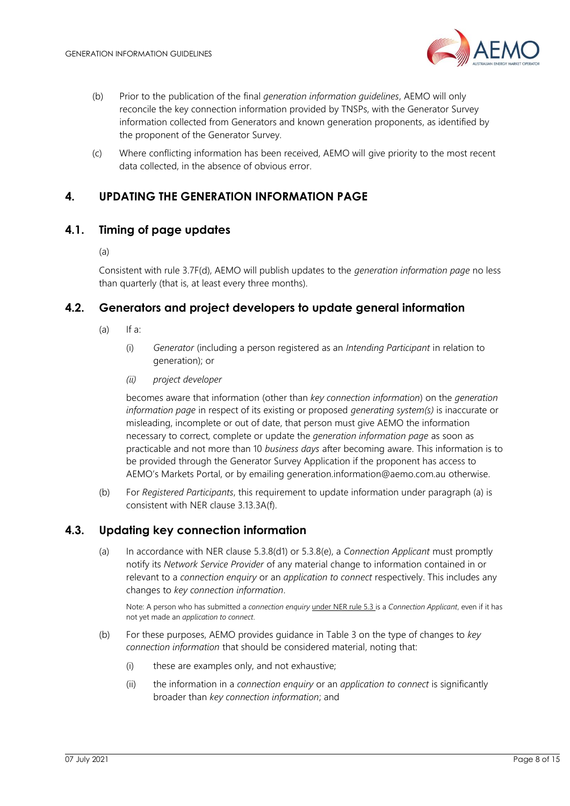

- (b) Prior to the publication of the final *generation information guidelines*, AEMO will only reconcile the key connection information provided by TNSPs, with the Generator Survey information collected from Generators and known generation proponents, as identified by the proponent of the Generator Survey.
- (c) Where conflicting information has been received, AEMO will give priority to the most recent data collected, in the absence of obvious error.

# <span id="page-7-0"></span>**4. UPDATING THE GENERATION INFORMATION PAGE**

## <span id="page-7-1"></span>**4.1. Timing of page updates**

(a)

Consistent with rule 3.7F(d), AEMO will publish updates to the *generation information page* no less than quarterly (that is, at least every three months).

# <span id="page-7-2"></span>**4.2. Generators and project developers to update general information**

- $(a)$  If a:
	- (i) *Generator* (including a person registered as an *Intending Participant* in relation to generation); or
	- *(ii) project developer*

becomes aware that information (other than *key connection information*) on the *generation information page* in respect of its existing or proposed *generating system(s)* is inaccurate or misleading, incomplete or out of date, that person must give AEMO the information necessary to correct, complete or update the *generation information page* as soon as practicable and not more than 10 *business days* after becoming aware. This information is to be provided through the Generator Survey Application if the proponent has access to AEMO's Markets Portal, or by emailing generation.information@aemo.com.au otherwise.

(b) For *Registered Participants*, this requirement to update information under paragraph (a) is consistent with NER clause 3.13.3A(f).

## <span id="page-7-3"></span>**4.3. Updating key connection information**

(a) In accordance with NER clause 5.3.8(d1) or 5.3.8(e), a *Connection Applicant* must promptly notify its *Network Service Provider* of any material change to information contained in or relevant to a *connection enquiry* or an *application to connect* respectively. This includes any changes to *key connection information*.

Note: A person who has submitted a *connection enquiry* under NER rule 5.3 is a *Connection Applicant*, even if it has not yet made an *application to connect*.

- (b) For these purposes, AEMO provides guidance in [Table 3](#page-8-2) on the type of changes to *key connection information* that should be considered material, noting that:
	- (i) these are examples only, and not exhaustive;
	- (ii) the information in a *connection enquiry* or an *application to connect* is significantly broader than *key connection information*; and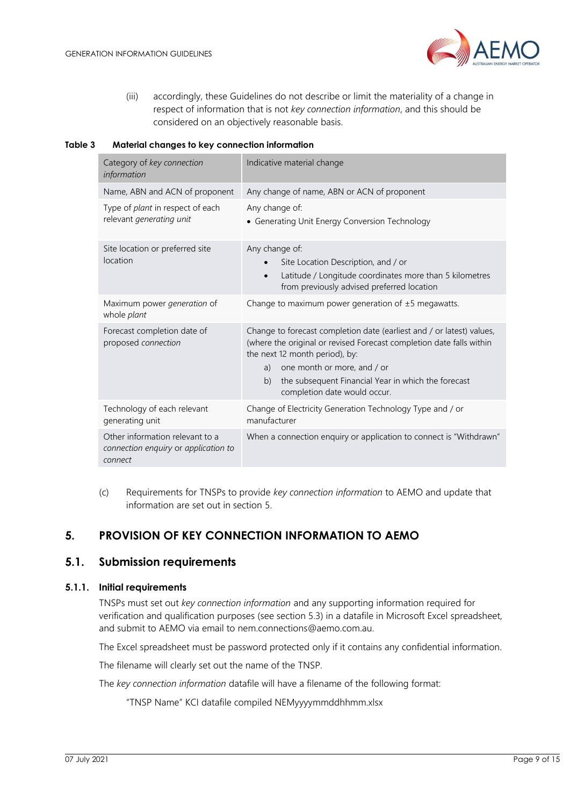

(iii) accordingly, these Guidelines do not describe or limit the materiality of a change in respect of information that is not *key connection information*, and this should be considered on an objectively reasonable basis.

#### <span id="page-8-2"></span>**Table 3 Material changes to key connection information**

| Category of key connection<br>information                                          | Indicative material change                                                                                                                                                                                                                                                                                        |
|------------------------------------------------------------------------------------|-------------------------------------------------------------------------------------------------------------------------------------------------------------------------------------------------------------------------------------------------------------------------------------------------------------------|
| Name, ABN and ACN of proponent                                                     | Any change of name, ABN or ACN of proponent                                                                                                                                                                                                                                                                       |
| Type of plant in respect of each<br>relevant generating unit                       | Any change of:<br>• Generating Unit Energy Conversion Technology                                                                                                                                                                                                                                                  |
| Site location or preferred site<br>location                                        | Any change of:<br>Site Location Description, and / or<br>Latitude / Longitude coordinates more than 5 kilometres<br>$\bullet$<br>from previously advised preferred location                                                                                                                                       |
| Maximum power generation of<br>whole plant                                         | Change to maximum power generation of $\pm 5$ megawatts.                                                                                                                                                                                                                                                          |
| Forecast completion date of<br>proposed connection                                 | Change to forecast completion date (earliest and / or latest) values,<br>(where the original or revised Forecast completion date falls within<br>the next 12 month period), by:<br>one month or more, and / or<br>a)<br>the subsequent Financial Year in which the forecast<br>b)<br>completion date would occur. |
| Technology of each relevant<br>generating unit                                     | Change of Electricity Generation Technology Type and / or<br>manufacturer                                                                                                                                                                                                                                         |
| Other information relevant to a<br>connection enquiry or application to<br>connect | When a connection enquiry or application to connect is "Withdrawn"                                                                                                                                                                                                                                                |

(c) Requirements for TNSPs to provide *key connection information* to AEMO and update that information are set out in section [5.](#page-8-0)

# <span id="page-8-0"></span>**5. PROVISION OF KEY CONNECTION INFORMATION TO AEMO**

## <span id="page-8-1"></span>**5.1. Submission requirements**

## **5.1.1. Initial requirements**

TNSPs must set out *key connection information* and any supporting information required for verification and qualification purposes (see section [5.3\)](#page-10-0) in a datafile in Microsoft Excel spreadsheet, and submit to AEMO via email to nem.connections@aemo.com.au.

The Excel spreadsheet must be password protected only if it contains any confidential information.

The filename will clearly set out the name of the TNSP.

The *key connection information* datafile will have a filename of the following format:

"TNSP Name" KCI datafile compiled NEMyyyymmddhhmm.xlsx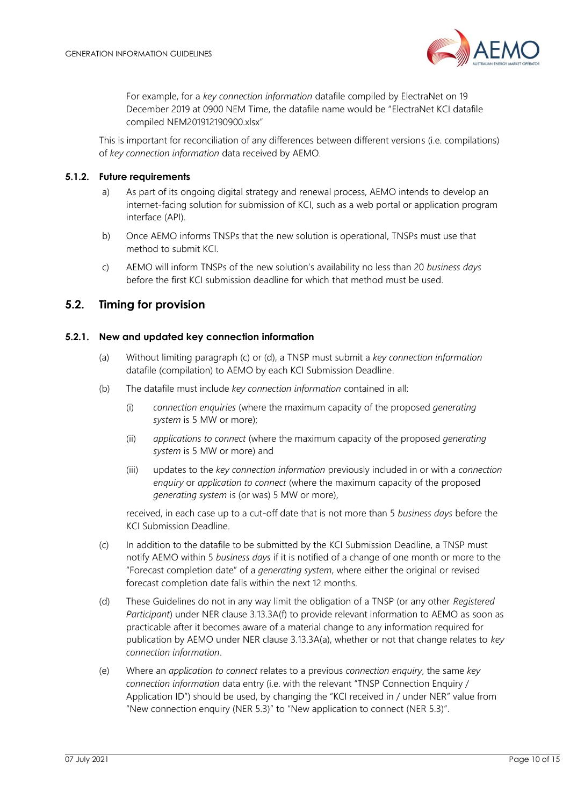

For example, for a *key connection information* datafile compiled by ElectraNet on 19 December 2019 at 0900 NEM Time, the datafile name would be "ElectraNet KCI datafile compiled NEM201912190900.xlsx"

This is important for reconciliation of any differences between different versions (i.e. compilations) of *key connection information* data received by AEMO.

### **5.1.2. Future requirements**

- a) As part of its ongoing digital strategy and renewal process, AEMO intends to develop an internet-facing solution for submission of KCI, such as a web portal or application program interface (API).
- b) Once AEMO informs TNSPs that the new solution is operational, TNSPs must use that method to submit KCI.
- c) AEMO will inform TNSPs of the new solution's availability no less than 20 *business days* before the first KCI submission deadline for which that method must be used.

## <span id="page-9-0"></span>**5.2. Timing for provision**

#### **5.2.1. New and updated key connection information**

- (a) Without limiting paragraph (c) or (d), a TNSP must submit a *key connection information*  datafile (compilation) to AEMO by each KCI Submission Deadline.
- (b) The datafile must include *key connection information* contained in all:
	- (i) *connection enquiries* (where the maximum capacity of the proposed *generating system* is 5 MW or more);
	- (ii) *applications to connect* (where the maximum capacity of the proposed *generating system* is 5 MW or more) and
	- (iii) updates to the *key connection information* previously included in or with a *connection enquiry* or *application to connect* (where the maximum capacity of the proposed *generating system* is (or was) 5 MW or more),

received, in each case up to a cut-off date that is not more than 5 *business days* before the KCI Submission Deadline.

- (c) In addition to the datafile to be submitted by the KCI Submission Deadline, a TNSP must notify AEMO within 5 *business days* if it is notified of a change of one month or more to the "Forecast completion date" of a *generating system*, where either the original or revised forecast completion date falls within the next 12 months.
- (d) These Guidelines do not in any way limit the obligation of a TNSP (or any other *Registered Participant*) under NER clause 3.13.3A(f) to provide relevant information to AEMO as soon as practicable after it becomes aware of a material change to any information required for publication by AEMO under NER clause 3.13.3A(a), whether or not that change relates to *key connection information*.
- (e) Where an *application to connect* relates to a previous *connection enquiry*, the same *key connection information* data entry (i.e. with the relevant "TNSP Connection Enquiry / Application ID") should be used, by changing the "KCI received in / under NER" value from "New connection enquiry (NER 5.3)" to "New application to connect (NER 5.3)".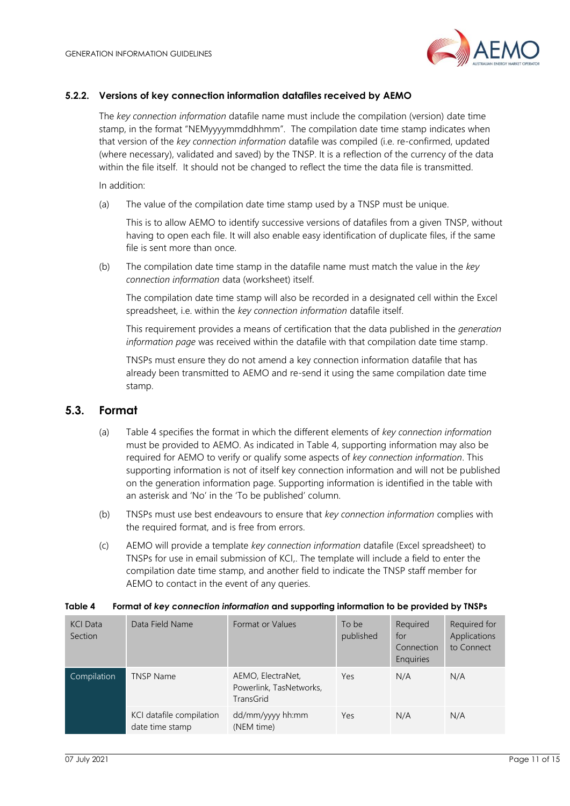

## **5.2.2. Versions of key connection information datafiles received by AEMO**

The *key connection information* datafile name must include the compilation (version) date time stamp, in the format "NEMyyyymmddhhmm". The compilation date time stamp indicates when that version of the *key connection information* datafile was compiled (i.e. re-confirmed, updated (where necessary), validated and saved) by the TNSP. It is a reflection of the currency of the data within the file itself. It should not be changed to reflect the time the data file is transmitted.

In addition:

(a) The value of the compilation date time stamp used by a TNSP must be unique.

This is to allow AEMO to identify successive versions of datafiles from a given TNSP, without having to open each file. It will also enable easy identification of duplicate files, if the same file is sent more than once.

(b) The compilation date time stamp in the datafile name must match the value in the *key connection information* data (worksheet) itself.

The compilation date time stamp will also be recorded in a designated cell within the Excel spreadsheet, i.e. within the *key connection information* datafile itself.

This requirement provides a means of certification that the data published in the *generation information page* was received within the datafile with that compilation date time stamp.

TNSPs must ensure they do not amend a key connection information datafile that has already been transmitted to AEMO and re-send it using the same compilation date time stamp.

## <span id="page-10-0"></span>**5.3. Format**

- (a) [Table 4](#page-10-1) specifies the format in which the different elements of *key connection information* must be provided to AEMO. As indicated in [Table 4,](#page-10-1) supporting information may also be required for AEMO to verify or qualify some aspects of *key connection information*. This supporting information is not of itself key connection information and will not be published on the generation information page. Supporting information is identified in the table with an asterisk and 'No' in the 'To be published' column.
- (b) TNSPs must use best endeavours to ensure that *key connection information* complies with the required format, and is free from errors.
- (c) AEMO will provide a template *key connection information* datafile (Excel spreadsheet) to TNSPs for use in email submission of KCI,. The template will include a field to enter the compilation date time stamp, and another field to indicate the TNSP staff member for AEMO to contact in the event of any queries.

| <b>KCI Data</b><br>Section | Data Field Name                             | Format or Values                                                 | To be<br>published | Required<br>for<br>Connection<br><b>Enguiries</b> | Required for<br>Applications<br>to Connect |
|----------------------------|---------------------------------------------|------------------------------------------------------------------|--------------------|---------------------------------------------------|--------------------------------------------|
| Compilation                | <b>TNSP Name</b>                            | AEMO, ElectraNet,<br>Powerlink, TasNetworks,<br><b>TransGrid</b> | Yes                | N/A                                               | N/A                                        |
|                            | KCI datafile compilation<br>date time stamp | dd/mm/yyyy hh:mm<br>(NEM time)                                   | Yes                | N/A                                               | N/A                                        |

#### <span id="page-10-1"></span>**Table 4 Format of** *key connection information* **and supporting information to be provided by TNSPs**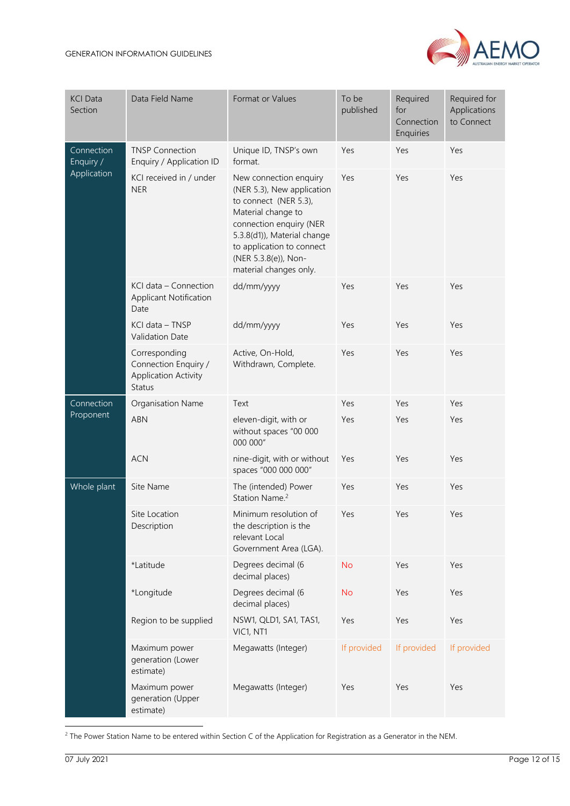

| <b>KCI Data</b><br>Section             | Data Field Name                                                         | Format or Values                                                                                                                                                                                                                             | To be<br>published | Required<br>for<br>Connection<br>Enquiries | Required for<br>Applications<br>to Connect |
|----------------------------------------|-------------------------------------------------------------------------|----------------------------------------------------------------------------------------------------------------------------------------------------------------------------------------------------------------------------------------------|--------------------|--------------------------------------------|--------------------------------------------|
| Connection<br>Enquiry /<br>Application | <b>TNSP Connection</b><br>Enquiry / Application ID                      | Unique ID, TNSP's own<br>format.                                                                                                                                                                                                             | Yes                | Yes                                        | Yes                                        |
|                                        | KCI received in / under<br><b>NER</b>                                   | New connection enquiry<br>(NER 5.3), New application<br>to connect (NER 5.3),<br>Material change to<br>connection enquiry (NER<br>5.3.8(d1)), Material change<br>to application to connect<br>(NER 5.3.8(e)), Non-<br>material changes only. | Yes                | Yes                                        | Yes                                        |
|                                        | KCI data - Connection<br><b>Applicant Notification</b><br>Date          | dd/mm/yyyy                                                                                                                                                                                                                                   | Yes                | Yes                                        | Yes                                        |
|                                        | KCI data - TNSP<br>Validation Date                                      | dd/mm/yyyy                                                                                                                                                                                                                                   | Yes                | Yes                                        | Yes                                        |
|                                        | Corresponding<br>Connection Enquiry /<br>Application Activity<br>Status | Active, On-Hold,<br>Withdrawn, Complete.                                                                                                                                                                                                     | Yes                | Yes                                        | Yes                                        |
| Connection                             | Organisation Name                                                       | Text                                                                                                                                                                                                                                         | Yes                | Yes                                        | Yes                                        |
| Proponent                              | <b>ABN</b>                                                              | eleven-digit, with or<br>without spaces "00 000<br>000 000"                                                                                                                                                                                  | Yes                | Yes                                        | Yes                                        |
|                                        | <b>ACN</b>                                                              | nine-digit, with or without<br>spaces "000 000 000"                                                                                                                                                                                          | Yes                | Yes                                        | Yes                                        |
| Whole plant                            | Site Name                                                               | The (intended) Power<br>Station Name. <sup>2</sup>                                                                                                                                                                                           | Yes                | Yes                                        | Yes                                        |
|                                        | Site Location<br>Description                                            | Minimum resolution of<br>the description is the<br>relevant Local<br>Government Area (LGA).                                                                                                                                                  | Yes                | Yes                                        | Yes                                        |
|                                        | *Latitude                                                               | Degrees decimal (6<br>decimal places)                                                                                                                                                                                                        | <b>No</b>          | Yes                                        | Yes                                        |
|                                        | *Longitude                                                              | Degrees decimal (6<br>decimal places)                                                                                                                                                                                                        | <b>No</b>          | Yes                                        | Yes                                        |
|                                        | Region to be supplied                                                   | NSW1, QLD1, SA1, TAS1,<br>VIC1, NT1                                                                                                                                                                                                          | Yes                | Yes                                        | Yes                                        |
|                                        | Maximum power<br>generation (Lower<br>estimate)                         | Megawatts (Integer)                                                                                                                                                                                                                          | If provided        | If provided                                | If provided                                |
|                                        | Maximum power<br>generation (Upper<br>estimate)                         | Megawatts (Integer)                                                                                                                                                                                                                          | Yes                | Yes                                        | Yes                                        |

<sup>2</sup> The Power Station Name to be entered within Section C of the Application for Registration as a Generator in the NEM.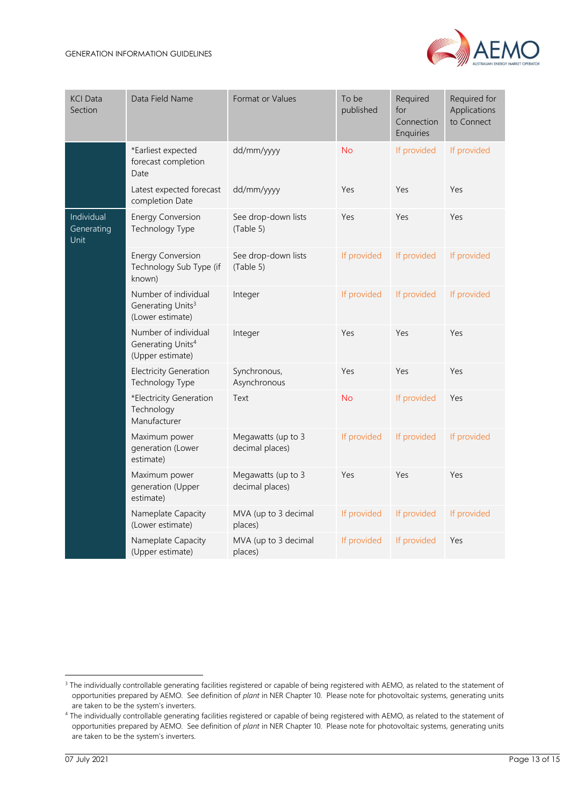

| <b>KCI Data</b><br>Section              | Data Field Name                                                           | To be<br>Required<br>Format or Values<br>for<br>published<br>Connection<br>Enquiries |             | Required for<br>Applications<br>to Connect |             |
|-----------------------------------------|---------------------------------------------------------------------------|--------------------------------------------------------------------------------------|-------------|--------------------------------------------|-------------|
|                                         | *Earliest expected<br>forecast completion<br>Date                         | dd/mm/yyyy                                                                           | <b>No</b>   | If provided                                | If provided |
|                                         | Latest expected forecast<br>completion Date                               | dd/mm/yyyy                                                                           | Yes         | Yes                                        | Yes         |
| Individual<br>Generating<br><b>Unit</b> | <b>Energy Conversion</b><br>Technology Type                               | See drop-down lists<br>(Table 5)                                                     | Yes         | Yes                                        | Yes         |
|                                         | <b>Energy Conversion</b><br>Technology Sub Type (if<br>known)             | See drop-down lists<br>(Table 5)                                                     | If provided | If provided                                | If provided |
|                                         | Number of individual<br>Generating Units <sup>3</sup><br>(Lower estimate) | Integer                                                                              | If provided | If provided                                | If provided |
|                                         | Number of individual<br>Generating Units <sup>4</sup><br>(Upper estimate) | Integer                                                                              | Yes         | Yes                                        | Yes         |
|                                         | <b>Electricity Generation</b><br>Technology Type                          | Synchronous,<br>Asynchronous                                                         | Yes         | Yes                                        | Yes         |
|                                         | *Electricity Generation<br>Technology<br>Manufacturer                     | Text                                                                                 | <b>No</b>   | If provided                                | Yes         |
|                                         | Maximum power<br>generation (Lower<br>estimate)                           | Megawatts (up to 3<br>decimal places)                                                | If provided | If provided                                | If provided |
|                                         | Maximum power<br>generation (Upper<br>estimate)                           | Megawatts (up to 3<br>decimal places)                                                | Yes         | Yes                                        | Yes         |
|                                         | Nameplate Capacity<br>(Lower estimate)                                    | MVA (up to 3 decimal<br>places)                                                      | If provided | If provided                                | If provided |
|                                         | Nameplate Capacity<br>(Upper estimate)                                    | MVA (up to 3 decimal<br>places)                                                      | If provided | If provided                                | Yes         |

<span id="page-12-0"></span><sup>&</sup>lt;sup>3</sup> The individually controllable generating facilities registered or capable of being registered with AEMO, as related to the statement of opportunities prepared by AEMO. See definition of *plant* in NER Chapter 10. Please note for photovoltaic systems, generating units are taken to be the system's inverters.

<sup>&</sup>lt;sup>4</sup> The individually controllable generating facilities registered or capable of being registered with AEMO, as related to the statement of opportunities prepared by AEMO. See definition of *plant* in NER Chapter 10. Please note for photovoltaic systems, generating units are taken to be the system's inverters.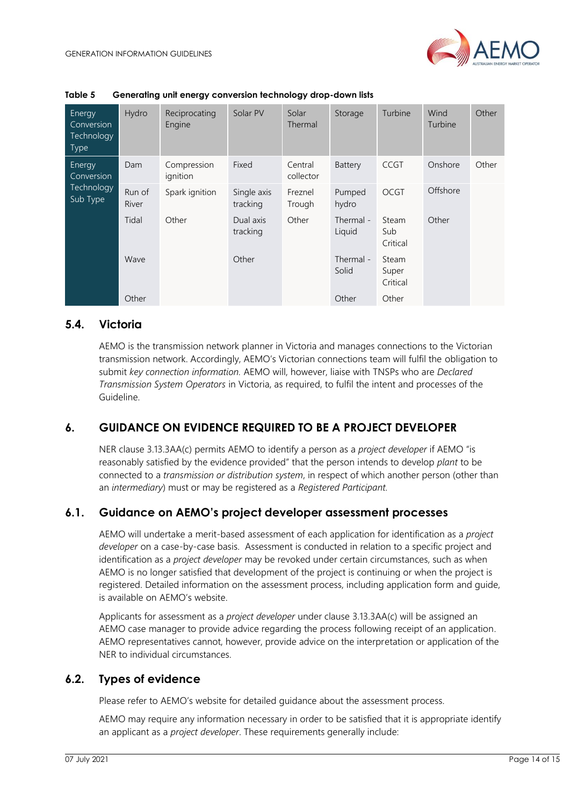

| Energy<br>Conversion<br>Technology<br><b>Type</b> | Hydro           | Reciprocating<br>Engine | Solar PV                | Solar<br>Thermal     | Storage             | Turbine                    | Wind<br>Turbine | Other |
|---------------------------------------------------|-----------------|-------------------------|-------------------------|----------------------|---------------------|----------------------------|-----------------|-------|
| Energy<br>Conversion<br>Technology<br>Sub Type    | Dam             | Compression<br>ignition | Fixed                   | Central<br>collector | Battery             | <b>CCGT</b>                | Onshore         | Other |
|                                                   | Run of<br>River | Spark ignition          | Single axis<br>tracking | Freznel<br>Trough    | Pumped<br>hydro     | <b>OCGT</b>                | Offshore        |       |
|                                                   | Tidal           | Other                   | Dual axis<br>tracking   | Other                | Thermal -<br>Liquid | Steam<br>Sub<br>Critical   | Other           |       |
|                                                   | Wave            |                         | Other                   |                      | Thermal -<br>Solid  | Steam<br>Super<br>Critical |                 |       |
|                                                   | Other           |                         |                         |                      | Other               | Other                      |                 |       |

## <span id="page-13-0"></span>**5.4. Victoria**

AEMO is the transmission network planner in Victoria and manages connections to the Victorian transmission network. Accordingly, AEMO's Victorian connections team will fulfil the obligation to submit *key connection information.* AEMO will, however, liaise with TNSPs who are *Declared Transmission System Operators* in Victoria, as required, to fulfil the intent and processes of the Guideline.

# <span id="page-13-1"></span>**6. GUIDANCE ON EVIDENCE REQUIRED TO BE A PROJECT DEVELOPER**

NER clause 3.13.3AA(c) permits AEMO to identify a person as a *project developer* if AEMO "is reasonably satisfied by the evidence provided" that the person intends to develop *plant* to be connected to a *transmission or distribution system*, in respect of which another person (other than an *intermediary*) must or may be registered as a *Registered Participant.*

## <span id="page-13-2"></span>**6.1. Guidance on AEMO's project developer assessment processes**

AEMO will undertake a merit-based assessment of each application for identification as a *project developer* on a case-by-case basis. Assessment is conducted in relation to a specific project and identification as a *project developer* may be revoked under certain circumstances, such as when AEMO is no longer satisfied that development of the project is continuing or when the project is registered. Detailed information on the assessment process, including application form and guide, is available on AEMO's website.

Applicants for assessment as a *project developer* under clause 3.13.3AA(c) will be assigned an AEMO case manager to provide advice regarding the process following receipt of an application. AEMO representatives cannot, however, provide advice on the interpretation or application of the NER to individual circumstances.

## <span id="page-13-3"></span>**6.2. Types of evidence**

Please refer to AEMO's website for detailed guidance about the assessment process.

AEMO may require any information necessary in order to be satisfied that it is appropriate identify an applicant as a *project developer*. These requirements generally include: